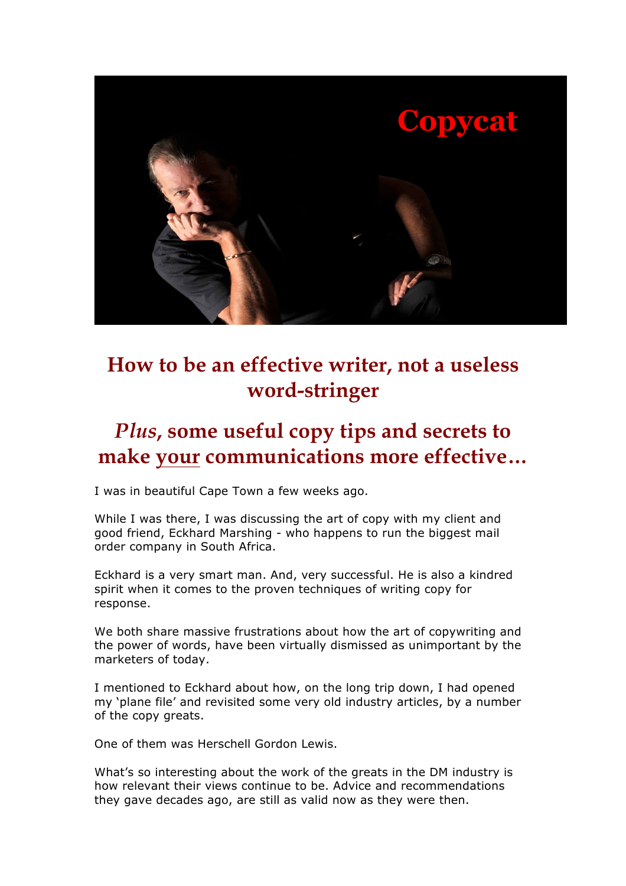

# **How to be an effective writer, not a useless word-stringer**

# *Plus***, some useful copy tips and secrets to make your communications more effective…**

I was in beautiful Cape Town a few weeks ago.

While I was there, I was discussing the art of copy with my client and good friend, Eckhard Marshing - who happens to run the biggest mail order company in South Africa.

Eckhard is a very smart man. And, very successful. He is also a kindred spirit when it comes to the proven techniques of writing copy for response.

We both share massive frustrations about how the art of copywriting and the power of words, have been virtually dismissed as unimportant by the marketers of today.

I mentioned to Eckhard about how, on the long trip down, I had opened my 'plane file' and revisited some very old industry articles, by a number of the copy greats.

One of them was Herschell Gordon Lewis.

What's so interesting about the work of the greats in the DM industry is how relevant their views continue to be. Advice and recommendations they gave decades ago, are still as valid now as they were then.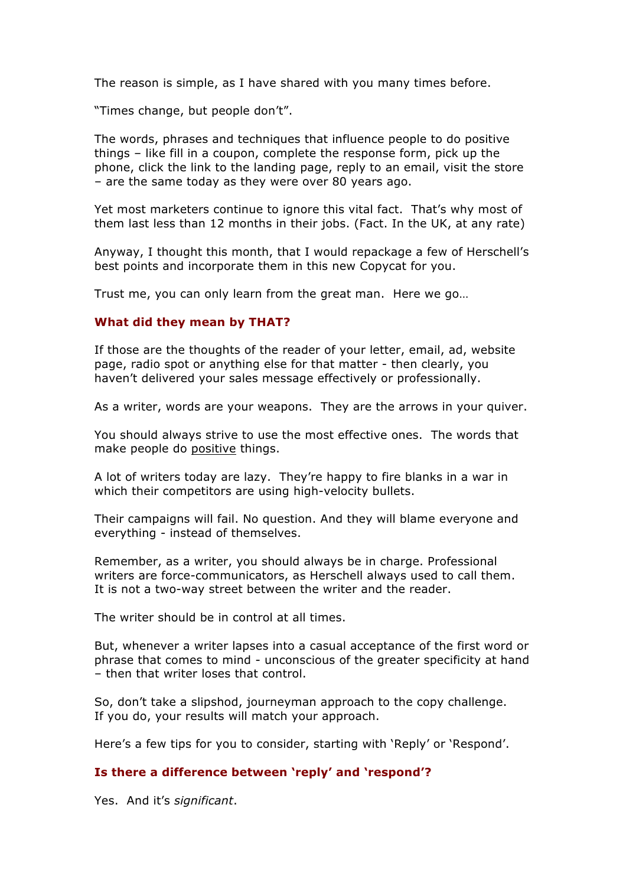The reason is simple, as I have shared with you many times before.

"Times change, but people don't".

The words, phrases and techniques that influence people to do positive things – like fill in a coupon, complete the response form, pick up the phone, click the link to the landing page, reply to an email, visit the store – are the same today as they were over 80 years ago.

Yet most marketers continue to ignore this vital fact. That's why most of them last less than 12 months in their jobs. (Fact. In the UK, at any rate)

Anyway, I thought this month, that I would repackage a few of Herschell's best points and incorporate them in this new Copycat for you.

Trust me, you can only learn from the great man. Here we go…

### **What did they mean by THAT?**

If those are the thoughts of the reader of your letter, email, ad, website page, radio spot or anything else for that matter - then clearly, you haven't delivered your sales message effectively or professionally.

As a writer, words are your weapons. They are the arrows in your quiver.

You should always strive to use the most effective ones. The words that make people do positive things.

A lot of writers today are lazy. They're happy to fire blanks in a war in which their competitors are using high-velocity bullets.

Their campaigns will fail. No question. And they will blame everyone and everything - instead of themselves.

Remember, as a writer, you should always be in charge. Professional writers are force-communicators, as Herschell always used to call them. It is not a two-way street between the writer and the reader.

The writer should be in control at all times.

But, whenever a writer lapses into a casual acceptance of the first word or phrase that comes to mind - unconscious of the greater specificity at hand – then that writer loses that control.

So, don't take a slipshod, journeyman approach to the copy challenge. If you do, your results will match your approach.

Here's a few tips for you to consider, starting with 'Reply' or 'Respond'.

### **Is there a difference between 'reply' and 'respond'?**

Yes. And it's *significant*.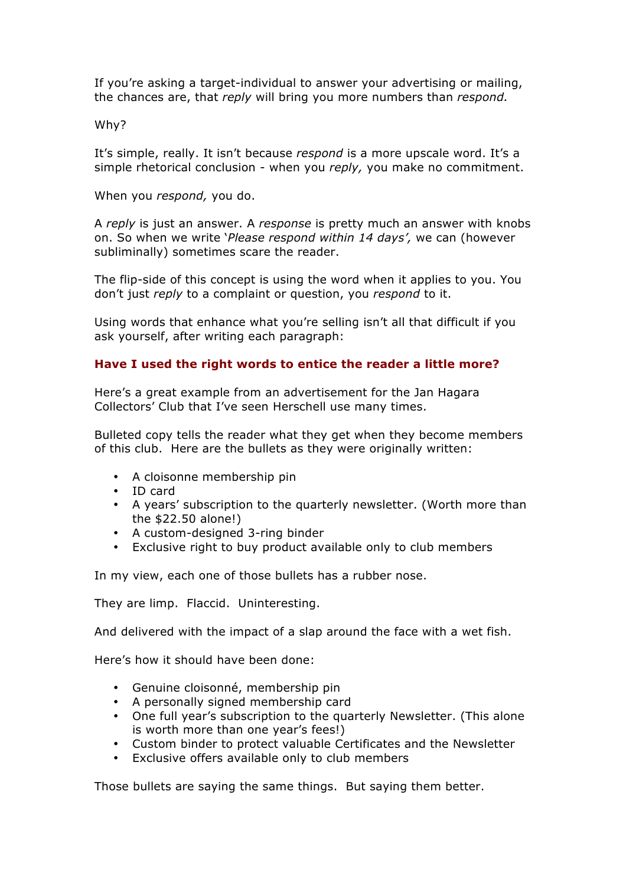If you're asking a target-individual to answer your advertising or mailing, the chances are, that *reply* will bring you more numbers than *respond.*

### Why?

It's simple, really. It isn't because *respond* is a more upscale word. It's a simple rhetorical conclusion - when you *reply,* you make no commitment.

When you *respond,* you do.

A *reply* is just an answer. A *response* is pretty much an answer with knobs on. So when we write '*Please respond within 14 days',* we can (however subliminally) sometimes scare the reader.

The flip-side of this concept is using the word when it applies to you. You don't just *reply* to a complaint or question, you *respond* to it.

Using words that enhance what you're selling isn't all that difficult if you ask yourself, after writing each paragraph:

## **Have I used the right words to entice the reader a little more?**

Here's a great example from an advertisement for the Jan Hagara Collectors' Club that I've seen Herschell use many times.

Bulleted copy tells the reader what they get when they become members of this club. Here are the bullets as they were originally written:

- A cloisonne membership pin
- ID card
- A years' subscription to the quarterly newsletter. (Worth more than the \$22.50 alone!)
- A custom-designed 3-ring binder
- Exclusive right to buy product available only to club members

In my view, each one of those bullets has a rubber nose.

They are limp. Flaccid. Uninteresting.

And delivered with the impact of a slap around the face with a wet fish.

Here's how it should have been done:

- Genuine cloisonné, membership pin
- A personally signed membership card
- One full year's subscription to the quarterly Newsletter. (This alone is worth more than one year's fees!)
- Custom binder to protect valuable Certificates and the Newsletter
- Exclusive offers available only to club members

Those bullets are saying the same things. But saying them better.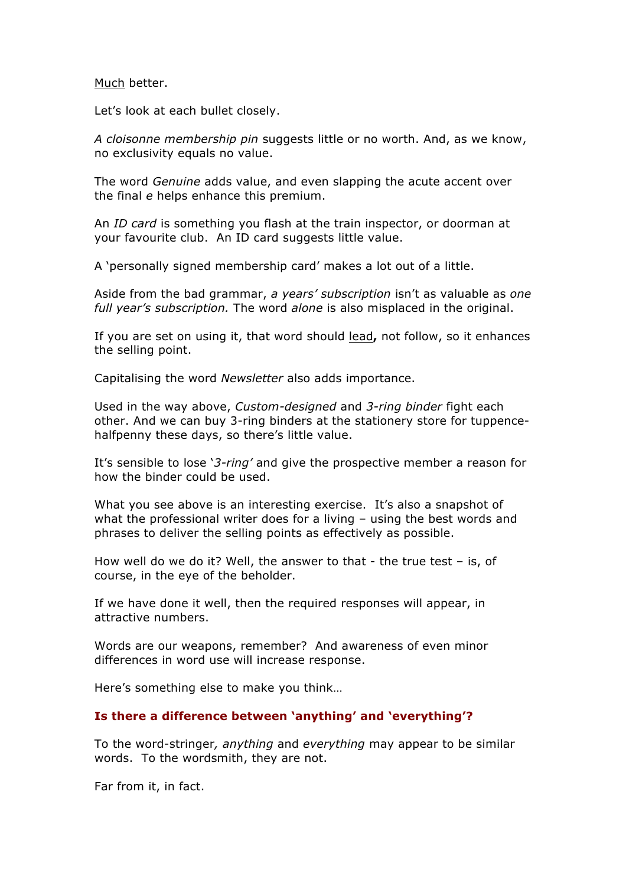Much better.

Let's look at each bullet closely.

*A cloisonne membership pin* suggests little or no worth. And, as we know, no exclusivity equals no value.

The word *Genuine* adds value, and even slapping the acute accent over the final *e* helps enhance this premium.

An *ID card* is something you flash at the train inspector, or doorman at your favourite club. An ID card suggests little value.

A 'personally signed membership card' makes a lot out of a little.

Aside from the bad grammar, *a years' subscription* isn't as valuable as *one full year's subscription.* The word *alone* is also misplaced in the original.

If you are set on using it, that word should lead**,** not follow, so it enhances the selling point.

Capitalising the word *Newsletter* also adds importance.

Used in the way above, *Custom-designed* and *3-ring binder* fight each other. And we can buy 3-ring binders at the stationery store for tuppencehalfpenny these days, so there's little value.

It's sensible to lose '*3-ring'* and give the prospective member a reason for how the binder could be used.

What you see above is an interesting exercise. It's also a snapshot of what the professional writer does for a living – using the best words and phrases to deliver the selling points as effectively as possible.

How well do we do it? Well, the answer to that - the true test – is, of course, in the eye of the beholder.

If we have done it well, then the required responses will appear, in attractive numbers.

Words are our weapons, remember? And awareness of even minor differences in word use will increase response.

Here's something else to make you think…

#### **Is there a difference between 'anything' and 'everything'?**

To the word-stringer*, anything* and *everything* may appear to be similar words. To the wordsmith, they are not.

Far from it, in fact.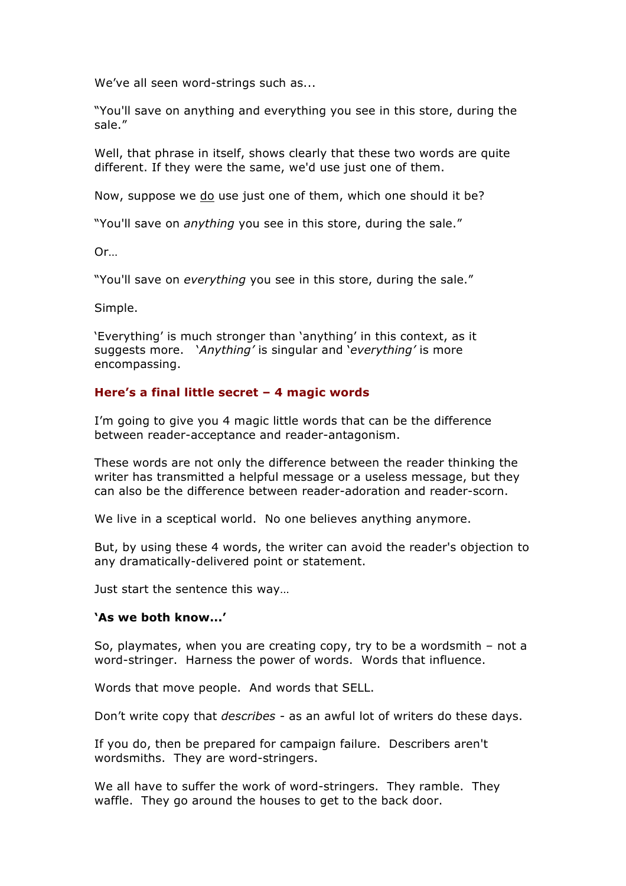We've all seen word-strings such as...

"You'll save on anything and everything you see in this store, during the sale."

Well, that phrase in itself, shows clearly that these two words are quite different. If they were the same, we'd use just one of them.

Now, suppose we do use just one of them, which one should it be?

"You'll save on *anything* you see in this store, during the sale."

Or…

"You'll save on *everything* you see in this store, during the sale."

Simple.

'Everything' is much stronger than 'anything' in this context, as it suggests more. '*Anything'* is singular and '*everything'* is more encompassing.

# **Here's a final little secret – 4 magic words**

I'm going to give you 4 magic little words that can be the difference between reader-acceptance and reader-antagonism.

These words are not only the difference between the reader thinking the writer has transmitted a helpful message or a useless message, but they can also be the difference between reader-adoration and reader-scorn.

We live in a sceptical world. No one believes anything anymore.

But, by using these 4 words, the writer can avoid the reader's objection to any dramatically-delivered point or statement.

Just start the sentence this way…

## **'As we both know...'**

So, playmates, when you are creating copy, try to be a wordsmith – not a word-stringer. Harness the power of words. Words that influence.

Words that move people. And words that SELL.

Don't write copy that *describes -* as an awful lot of writers do these days.

If you do, then be prepared for campaign failure. Describers aren't wordsmiths. They are word-stringers.

We all have to suffer the work of word-stringers. They ramble. They waffle. They go around the houses to get to the back door.